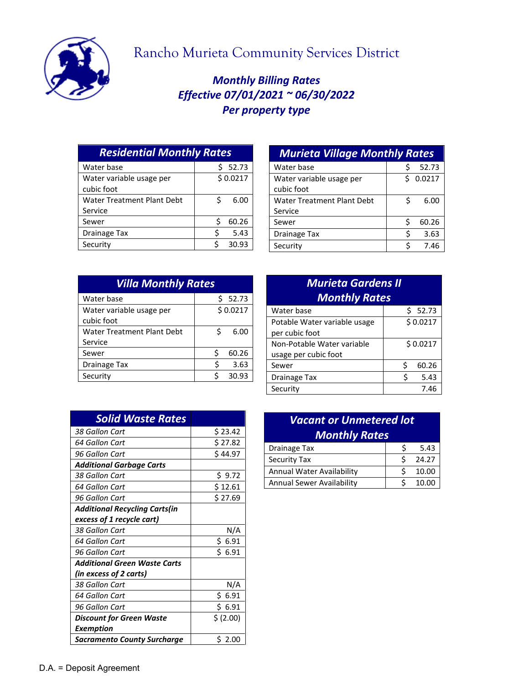

## Rancho Murieta Community Services District

## *Monthly Billing Rates Effective 07/01/2021 ~ 06/30/2022 Per property type*

| <b>Residential Monthly Rates</b> |          |  |
|----------------------------------|----------|--|
| Ś                                | 52.73    |  |
|                                  | \$0.0217 |  |
| Ś                                | 6.00     |  |
|                                  |          |  |
| ς                                | 60.26    |  |
|                                  | 5.43     |  |
|                                  | 30.93    |  |
|                                  |          |  |

| Water base                        | Ś  | 52.73    |
|-----------------------------------|----|----------|
| Water variable usage per          |    | \$0.0217 |
| cubic foot                        |    |          |
| <b>Water Treatment Plant Debt</b> | Ś  | 6.00     |
| Service                           |    |          |
| Sewer                             | Ś  | 60.26    |
| <b>Drainage Tax</b>               | \$ | 3.63     |
| Security                          | Ś  | 7.46     |

| <b>Villa Monthly Rates</b> |   |          |
|----------------------------|---|----------|
| Water base                 |   | \$52.73  |
| Water variable usage per   |   | \$0.0217 |
| cubic foot                 |   |          |
| Water Treatment Plant Debt | Ś | 6.00     |
| Service                    |   |          |
| Sewer                      | Ś | 60.26    |
| <b>Drainage Tax</b>        |   | 3.63     |
| Security                   | ¢ | 30.93    |

| <b>Murieta Gardens II</b><br><b>Monthly Rates</b>  |            |  |
|----------------------------------------------------|------------|--|
| Water base                                         | \$52.73    |  |
| Potable Water variable usage<br>per cubic foot     | \$0.0217   |  |
| Non-Potable Water variable<br>usage per cubic foot | \$0.0217   |  |
| Sewer                                              | Ś<br>60.26 |  |
| Drainage Tax                                       | Ś<br>5.43  |  |
| Security                                           | 7.46       |  |

| <b>Solid Waste Rates</b>             |            |
|--------------------------------------|------------|
| 38 Gallon Cart                       | \$23.42    |
| 64 Gallon Cart                       | \$27.82    |
| 96 Gallon Cart                       | \$44.97    |
| <b>Additional Garbage Carts</b>      |            |
| 38 Gallon Cart                       | \$ 9.72    |
| 64 Gallon Cart                       | \$12.61    |
| 96 Gallon Cart                       | \$27.69    |
| <b>Additional Recycling Carts(in</b> |            |
| excess of 1 recycle cart)            |            |
| 38 Gallon Cart                       | N/A        |
| 64 Gallon Cart                       | \$ 6.91    |
| 96 Gallon Cart                       | \$6.91     |
| <b>Additional Green Waste Carts</b>  |            |
| (in excess of 2 carts)               |            |
| 38 Gallon Cart                       | N/A        |
| 64 Gallon Cart                       | Ś.<br>6.91 |
| 96 Gallon Cart                       | \$ 6.91    |
| <b>Discount for Green Waste</b>      | \$ (2.00)  |
| Exemption                            |            |
| <b>Sacramento County Surcharge</b>   | S 2.00     |

| <b>Monthly Rates</b><br><b>Drainage Tax</b><br>Security Tax |   |       |
|-------------------------------------------------------------|---|-------|
|                                                             |   |       |
|                                                             |   | 5.43  |
|                                                             | ς | 24.27 |
| Annual Water Availability                                   | ς | 10.00 |
| <b>Annual Sewer Availability</b>                            |   | 10.00 |